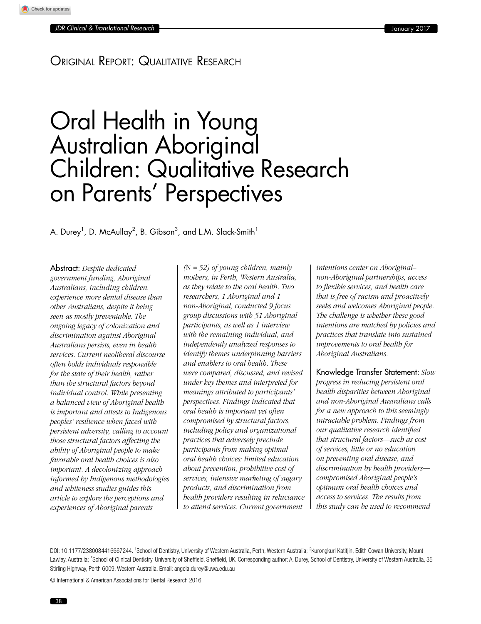Original Report: Qualitative Research

# Oral Health in Young Australian Aboriginal Children: Qualitative Research on Parents' Perspectives

A. Durey $^{\rm l}$ , D. McAullay $^{\rm 2}$ , B. Gibson $^{\rm 3}$ , and L.M. Slack-Smith $^{\rm l}$ 

Abstract: *Despite dedicated government funding, Aboriginal Australians, including children, experience more dental disease than other Australians, despite it being seen as mostly preventable. The ongoing legacy of colonization and discrimination against Aboriginal Australians persists, even in health services. Current neoliberal discourse often holds individuals responsible for the state of their health, rather than the structural factors beyond individual control. While presenting a balanced view of Aboriginal health is important and attests to Indigenous peoples' resilience when faced with persistent adversity, calling to account those structural factors affecting the ability of Aboriginal people to make favorable oral health choices is also important. A decolonizing approach informed by Indigenous methodologies and whiteness studies guides this article to explore the perceptions and experiences of Aboriginal parents* 

*(*N *= 52) of young children, mainly mothers, in Perth, Western Australia, as they relate to the oral health. Two researchers, 1 Aboriginal and 1 non-Aboriginal, conducted 9 focus group discussions with 51 Aboriginal participants, as well as 1 interview with the remaining individual, and independently analyzed responses to identify themes underpinning barriers and enablers to oral health. These were compared, discussed, and revised under key themes and interpreted for meanings attributed to participants' perspectives. Findings indicated that oral health is important yet often compromised by structural factors, including policy and organizational practices that adversely preclude participants from making optimal oral health choices: limited education about prevention, prohibitive cost of services, intensive marketing of sugary products, and discrimination from health providers resulting in reluctance to attend services. Current government* 

*intentions center on Aboriginal– non-Aboriginal partnerships, access to flexible services, and health care that is free of racism and proactively seeks and welcomes Aboriginal people. The challenge is whether these good intentions are matched by policies and practices that translate into sustained improvements to oral health for Aboriginal Australians.*

Knowledge Transfer Statement: *Slow progress in reducing persistent oral health disparities between Aboriginal and non-Aboriginal Australians calls for a new approach to this seemingly intractable problem. Findings from our qualitative research identified that structural factors—such as cost of services, little or no education on preventing oral disease, and discrimination by health providers compromised Aboriginal people's optimum oral health choices and access to services. The results from this study can be used to recommend* 

DOI: 10.1177/2380084416667244. <sup>1</sup>School of Dentistry, University of Western Australia, Perth, Western Australia; <sup>2</sup>Kurongkurl Katitjin, Edith Cowan University, Mount Lawley, Australia; <sup>3</sup>School of Clinical Dentistry, University of Sheffield, Sheffield, UK. Corresponding author: A. Durey, School of Dentistry, University of Western Australia, 35 Stirling Highway, Perth 6009, Western Australia. Email: angela.durey@uwa.edu.au

© International & American Associations for Dental Research 2016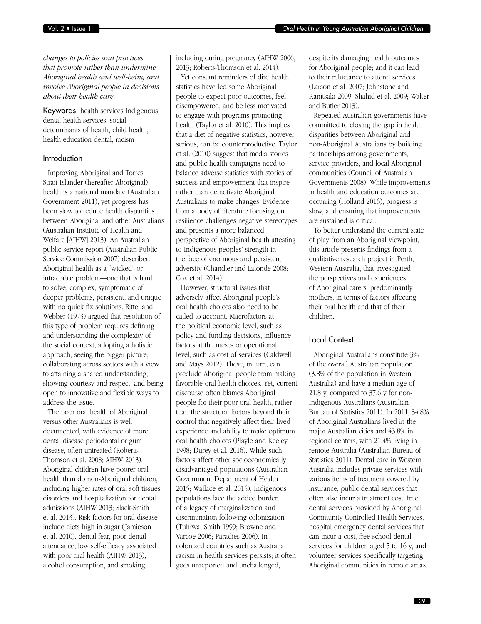*changes to policies and practices that promote rather than undermine Aboriginal health and well-being and involve Aboriginal people in decisions about their health care.*

Keywords: health services Indigenous, dental health services, social determinants of health, child health, health education dental, racism

# Introduction

Improving Aboriginal and Torres Strait Islander (hereafter Aboriginal) health is a national mandate (Australian Government 2011), yet progress has been slow to reduce health disparities between Aboriginal and other Australians (Australian Institute of Health and Welfare [AIHW] 2013). An Australian public service report (Australian Public Service Commission 2007) described Aboriginal health as a "wicked" or intractable problem—one that is hard to solve, complex, symptomatic of deeper problems, persistent, and unique with no quick fix solutions. Rittel and Webber (1973) argued that resolution of this type of problem requires defining and understanding the complexity of the social context, adopting a holistic approach, seeing the bigger picture, collaborating across sectors with a view to attaining a shared understanding, showing courtesy and respect, and being open to innovative and flexible ways to address the issue.

The poor oral health of Aboriginal versus other Australians is well documented, with evidence of more dental disease periodontal or gum disease, often untreated (Roberts-Thomson et al. 2008; AIHW 2013). Aboriginal children have poorer oral health than do non-Aboriginal children, including higher rates of oral soft tissues' disorders and hospitalization for dental admissions (AIHW 2013; Slack-Smith et al. 2013). Risk factors for oral disease include diets high in sugar (Jamieson et al. 2010), dental fear, poor dental attendance, low self-efficacy associated with poor oral health (AIHW 2013), alcohol consumption, and smoking,

including during pregnancy (AIHW 2006, 2013; Roberts-Thomson et al. 2014).

Yet constant reminders of dire health statistics have led some Aboriginal people to expect poor outcomes, feel disempowered, and be less motivated to engage with programs promoting health (Taylor et al. 2010). This implies that a diet of negative statistics, however serious, can be counterproductive. Taylor et al. (2010) suggest that media stories and public health campaigns need to balance adverse statistics with stories of success and empowerment that inspire rather than demotivate Aboriginal Australians to make changes. Evidence from a body of literature focusing on resilience challenges negative stereotypes and presents a more balanced perspective of Aboriginal health attesting to Indigenous peoples' strength in the face of enormous and persistent adversity (Chandler and Lalonde 2008; Cox et al. 2014).

However, structural issues that adversely affect Aboriginal people's oral health choices also need to be called to account. Macrofactors at the political economic level, such as policy and funding decisions, influence factors at the meso- or operational level, such as cost of services (Caldwell and Mays 2012). These, in turn, can preclude Aboriginal people from making favorable oral health choices. Yet, current discourse often blames Aboriginal people for their poor oral health, rather than the structural factors beyond their control that negatively affect their lived experience and ability to make optimum oral health choices (Playle and Keeley 1998; Durey et al. 2016). While such factors affect other socioeconomically disadvantaged populations (Australian Government Department of Health 2015; Wallace et al. 2015), Indigenous populations face the added burden of a legacy of marginalization and discrimination following colonization (Tuhiwai Smith 1999; Browne and Varcoe 2006; Paradies 2006). In colonized countries such as Australia, racism in health services persists; it often goes unreported and unchallenged,

despite its damaging health outcomes for Aboriginal people; and it can lead to their reluctance to attend services (Larson et al. 2007; Johnstone and Kanitsaki 2009; Shahid et al. 2009; Walter and Butler 2013).

Repeated Australian governments have committed to closing the gap in health disparities between Aboriginal and non-Aboriginal Australians by building partnerships among governments, service providers, and local Aboriginal communities (Council of Australian Governments 2008). While improvements in health and education outcomes are occurring (Holland 2016), progress is slow, and ensuring that improvements are sustained is critical.

To better understand the current state of play from an Aboriginal viewpoint, this article presents findings from a qualitative research project in Perth, Western Australia, that investigated the perspectives and experiences of Aboriginal carers, predominantly mothers, in terms of factors affecting their oral health and that of their children.

## Local Context

Aboriginal Australians constitute 3% of the overall Australian population (3.8% of the population in Western Australia) and have a median age of 21.8 y, compared to 37.6 y for non-Indigenous Australians (Australian Bureau of Statistics 2011). In 2011, 34.8% of Aboriginal Australians lived in the major Australian cities and 43.8% in regional centers, with 21.4% living in remote Australia (Australian Bureau of Statistics 2011). Dental care in Western Australia includes private services with various items of treatment covered by insurance, public dental services that often also incur a treatment cost, free dental services provided by Aboriginal Community Controlled Health Services, hospital emergency dental services that can incur a cost, free school dental services for children aged 5 to 16 y, and volunteer services specifically targeting Aboriginal communities in remote areas.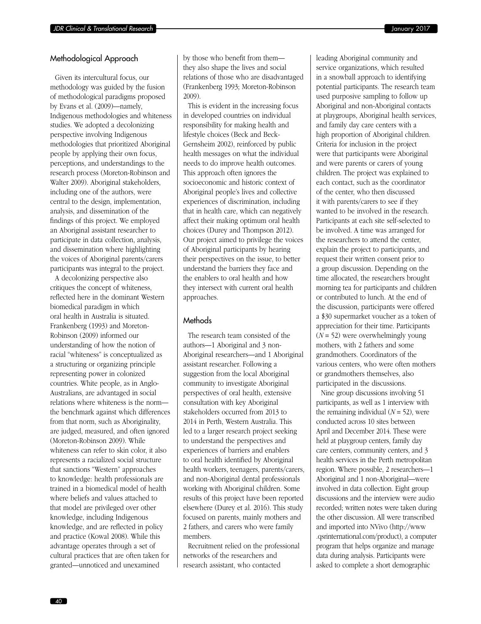## Methodological Approach

Given its intercultural focus, our methodology was guided by the fusion of methodological paradigms proposed by Evans et al. (2009)—namely, Indigenous methodologies and whiteness studies. We adopted a decolonizing perspective involving Indigenous methodologies that prioritized Aboriginal people by applying their own focus, perceptions, and understandings to the research process (Moreton-Robinson and Walter 2009). Aboriginal stakeholders, including one of the authors, were central to the design, implementation, analysis, and dissemination of the findings of this project. We employed an Aboriginal assistant researcher to participate in data collection, analysis, and dissemination where highlighting the voices of Aboriginal parents/carers participants was integral to the project.

A decolonizing perspective also critiques the concept of whiteness, reflected here in the dominant Western biomedical paradigm in which oral health in Australia is situated. Frankenberg (1993) and Moreton-Robinson (2009) informed our understanding of how the notion of racial "whiteness" is conceptualized as a structuring or organizing principle representing power in colonized countries. White people, as in Anglo-Australians, are advantaged in social relations where whiteness is the norm the benchmark against which differences from that norm, such as Aboriginality, are judged, measured, and often ignored (Moreton-Robinson 2009). While whiteness can refer to skin color, it also represents a racialized social structure that sanctions "Western" approaches to knowledge: health professionals are trained in a biomedical model of health where beliefs and values attached to that model are privileged over other knowledge, including Indigenous knowledge, and are reflected in policy and practice (Kowal 2008). While this advantage operates through a set of cultural practices that are often taken for granted—unnoticed and unexamined

by those who benefit from them they also shape the lives and social relations of those who are disadvantaged (Frankenberg 1993; Moreton-Robinson 2009).

This is evident in the increasing focus in developed countries on individual responsibility for making health and lifestyle choices (Beck and Beck-Gernsheim 2002), reinforced by public health messages on what the individual needs to do improve health outcomes. This approach often ignores the socioeconomic and historic context of Aboriginal people's lives and collective experiences of discrimination, including that in health care, which can negatively affect their making optimum oral health choices (Durey and Thompson 2012). Our project aimed to privilege the voices of Aboriginal participants by hearing their perspectives on the issue, to better understand the barriers they face and the enablers to oral health and how they intersect with current oral health approaches.

## Methods

The research team consisted of the authors—1 Aboriginal and 3 non-Aboriginal researchers—and 1 Aboriginal assistant researcher. Following a suggestion from the local Aboriginal community to investigate Aboriginal perspectives of oral health, extensive consultation with key Aboriginal stakeholders occurred from 2013 to 2014 in Perth, Western Australia. This led to a larger research project seeking to understand the perspectives and experiences of barriers and enablers to oral health identified by Aboriginal health workers, teenagers, parents/carers, and non-Aboriginal dental professionals working with Aboriginal children. Some results of this project have been reported elsewhere (Durey et al. 2016). This study focused on parents, mainly mothers and 2 fathers, and carers who were family members.

Recruitment relied on the professional networks of the researchers and research assistant, who contacted

leading Aboriginal community and service organizations, which resulted in a snowball approach to identifying potential participants. The research team used purposive sampling to follow up Aboriginal and non-Aboriginal contacts at playgroups, Aboriginal health services, and family day care centers with a high proportion of Aboriginal children. Criteria for inclusion in the project were that participants were Aboriginal and were parents or carers of young children. The project was explained to each contact, such as the coordinator of the center, who then discussed it with parents/carers to see if they wanted to be involved in the research. Participants at each site self-selected to be involved. A time was arranged for the researchers to attend the center, explain the project to participants, and request their written consent prior to a group discussion. Depending on the time allocated, the researchers brought morning tea for participants and children or contributed to lunch. At the end of the discussion, participants were offered a \$30 supermarket voucher as a token of appreciation for their time. Participants  $(N = 52)$  were overwhelmingly young mothers, with 2 fathers and some grandmothers. Coordinators of the various centers, who were often mothers or grandmothers themselves, also participated in the discussions.

Nine group discussions involving 51 participants, as well as 1 interview with the remaining individual  $(N = 52)$ , were conducted across 10 sites between April and December 2014. These were held at playgroup centers, family day care centers, community centers, and 3 health services in the Perth metropolitan region. Where possible, 2 researchers—1 Aboriginal and 1 non-Aboriginal—were involved in data collection. Eight group discussions and the interview were audio recorded; written notes were taken during the other discussion. All were transcribed and imported into NVivo (http://www .qsrinternational.com/product), a computer program that helps organize and manage data during analysis. Participants were asked to complete a short demographic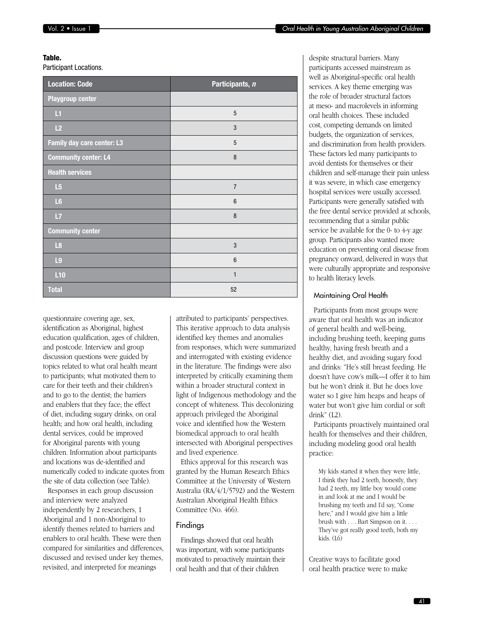## Table.

Participant Locations.

| <b>Location: Code</b>       | Participants, n |
|-----------------------------|-----------------|
| <b>Playgroup center</b>     |                 |
| L1                          | 5               |
| L2                          | 3               |
| Family day care center: L3  | 5               |
| <b>Community center: L4</b> | 8               |
| <b>Health services</b>      |                 |
| L5                          | $\overline{7}$  |
| L6                          | $6\phantom{1}$  |
| L7                          | 8               |
| <b>Community center</b>     |                 |
| L8                          | 3               |
| L9                          | $6\phantom{1}$  |
| L10                         | $\mathbf{1}$    |
| <b>Total</b>                | 52              |

questionnaire covering age, sex, identification as Aboriginal, highest education qualification, ages of children, and postcode. Interview and group discussion questions were guided by topics related to what oral health meant to participants; what motivated them to care for their teeth and their children's and to go to the dentist; the barriers and enablers that they face; the effect of diet, including sugary drinks, on oral health; and how oral health, including dental services, could be improved for Aboriginal parents with young children. Information about participants and locations was de-identified and numerically coded to indicate quotes from the site of data collection (see Table).

Responses in each group discussion and interview were analyzed independently by 2 researchers, 1 Aboriginal and 1 non-Aboriginal to identify themes related to barriers and enablers to oral health. These were then compared for similarities and differences, discussed and revised under key themes, revisited, and interpreted for meanings

attributed to participants' perspectives. This iterative approach to data analysis identified key themes and anomalies from responses, which were summarized and interrogated with existing evidence in the literature. The findings were also interpreted by critically examining them within a broader structural context in light of Indigenous methodology and the concept of whiteness. This decolonizing approach privileged the Aboriginal voice and identified how the Western biomedical approach to oral health intersected with Aboriginal perspectives and lived experience.

Ethics approval for this research was granted by the Human Research Ethics Committee at the University of Western Australia (RA/4/1/5792) and the Western Australian Aboriginal Health Ethics Committee (No. 466).

## Findings

Findings showed that oral health was important, with some participants motivated to proactively maintain their oral health and that of their children

despite structural barriers. Many participants accessed mainstream as well as Aboriginal-specific oral health services. A key theme emerging was the role of broader structural factors at meso- and macrolevels in informing oral health choices. These included cost, competing demands on limited budgets, the organization of services, and discrimination from health providers. These factors led many participants to avoid dentists for themselves or their children and self-manage their pain unless it was severe, in which case emergency hospital services were usually accessed. Participants were generally satisfied with the free dental service provided at schools, recommending that a similar public service be available for the 0- to 4-y age group. Participants also wanted more education on preventing oral disease from pregnancy onward, delivered in ways that were culturally appropriate and responsive to health literacy levels.

## Maintaining Oral Health

Participants from most groups were aware that oral health was an indicator of general health and well-being, including brushing teeth, keeping gums healthy, having fresh breath and a healthy diet, and avoiding sugary food and drinks: "He's still breast feeding. He doesn't have cow's milk—I offer it to him but he won't drink it. But he does love water so I give him heaps and heaps of water but won't give him cordial or soft drink" (L2).

Participants proactively maintained oral health for themselves and their children, including modeling good oral health practice:

My kids started it when they were little, I think they had 2 teeth, honestly, they had 2 teeth, my little boy would come in and look at me and I would be brushing my teeth and I'd say, "Come here," and I would give him a little brush with . . . Bart Simpson on it. . . . They've got really good teeth, both my kids. (L6)

Creative ways to facilitate good oral health practice were to make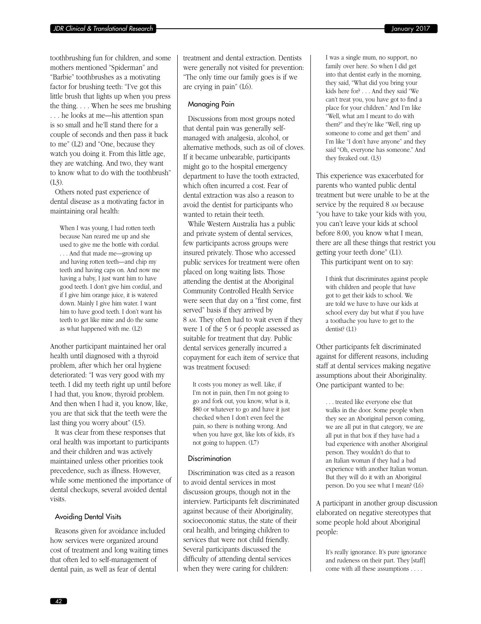toothbrushing fun for children, and some mothers mentioned "Spiderman" and "Barbie" toothbrushes as a motivating factor for brushing teeth: "I've got this little brush that lights up when you press the thing. . . . When he sees me brushing . . . he looks at me—his attention span is so small and he'll stand there for a couple of seconds and then pass it back to me" (L2) and "One, because they watch you doing it. From this little age, they are watching. And two, they want to know what to do with the toothbrush" (L3).

Others noted past experience of dental disease as a motivating factor in maintaining oral health:

When I was young, I had rotten teeth because Nan reared me up and she used to give me the bottle with cordial. . . . And that made me—growing up and having rotten teeth—and chip my teeth and having caps on. And now me having a baby, I just want him to have good teeth. I don't give him cordial, and if I give him orange juice, it is watered down. Mainly I give him water. I want him to have good teeth. I don't want his teeth to get like mine and do the same as what happened with me. (L2)

Another participant maintained her oral health until diagnosed with a thyroid problem, after which her oral hygiene deteriorated: "I was very good with my teeth. I did my teeth right up until before I had that, you know, thyroid problem. And then when I had it, you know, like, you are that sick that the teeth were the last thing you worry about" (L5).

It was clear from these responses that oral health was important to participants and their children and was actively maintained unless other priorities took precedence, such as illness. However, while some mentioned the importance of dental checkups, several avoided dental visits.

#### Avoiding Dental Visits

Reasons given for avoidance included how services were organized around cost of treatment and long waiting times that often led to self-management of dental pain, as well as fear of dental

treatment and dental extraction. Dentists were generally not visited for prevention: "The only time our family goes is if we are crying in pain" (L6).

### Managing Pain

Discussions from most groups noted that dental pain was generally selfmanaged with analgesia, alcohol, or alternative methods, such as oil of cloves. If it became unbearable, participants might go to the hospital emergency department to have the tooth extracted, which often incurred a cost. Fear of dental extraction was also a reason to avoid the dentist for participants who wanted to retain their teeth.

While Western Australia has a public and private system of dental services, few participants across groups were insured privately. Those who accessed public services for treatment were often placed on long waiting lists. Those attending the dentist at the Aboriginal Community Controlled Health Service were seen that day on a "first come, first served" basis if they arrived by 8 am. They often had to wait even if they were 1 of the 5 or 6 people assessed as suitable for treatment that day. Public dental services generally incurred a copayment for each item of service that was treatment focused:

It costs you money as well. Like, if I'm not in pain, then I'm not going to go and fork out, you know, what is it, \$80 or whatever to go and have it just checked when I don't even feel the pain, so there is nothing wrong. And when you have got, like lots of kids, it's not going to happen. (L7)

#### **Discrimination**

Discrimination was cited as a reason to avoid dental services in most discussion groups, though not in the interview. Participants felt discriminated against because of their Aboriginality, socioeconomic status, the state of their oral health, and bringing children to services that were not child friendly. Several participants discussed the difficulty of attending dental services when they were caring for children:

I was a single mum, no support, no family over here. So when I did get into that dentist early in the morning, they said, "What did you bring your kids here for? . . . And they said "We can't treat you, you have got to find a place for your children." And I'm like "Well, what am I meant to do with them?" and they're like "Well, ring up someone to come and get them" and I'm like "I don't have anyone" and they said "Oh, everyone has someone." And they freaked out. (L3)

This experience was exacerbated for parents who wanted public dental treatment but were unable to be at the service by the required 8 am because "you have to take your kids with you, you can't leave your kids at school before 8:00, you know what I mean, there are all these things that restrict you getting your teeth done" (L1). This participant went on to say:

I think that discriminates against people with children and people that have got to get their kids to school. We are told we have to have our kids at school every day but what if you have a toothache you have to get to the dentist? (L1)

Other participants felt discriminated against for different reasons, including staff at dental services making negative assumptions about their Aboriginality. One participant wanted to be:

. . . treated like everyone else that walks in the door. Some people when they see an Aboriginal person coming, we are all put in that category, we are all put in that box if they have had a bad experience with another Aboriginal person. They wouldn't do that to an Italian woman if they had a bad experience with another Italian woman. But they will do it with an Aboriginal person. Do you see what I mean? (L6)

A participant in another group discussion elaborated on negative stereotypes that some people hold about Aboriginal people:

It's really ignorance. It's pure ignorance and rudeness on their part. They [staff] come with all these assumptions . . . .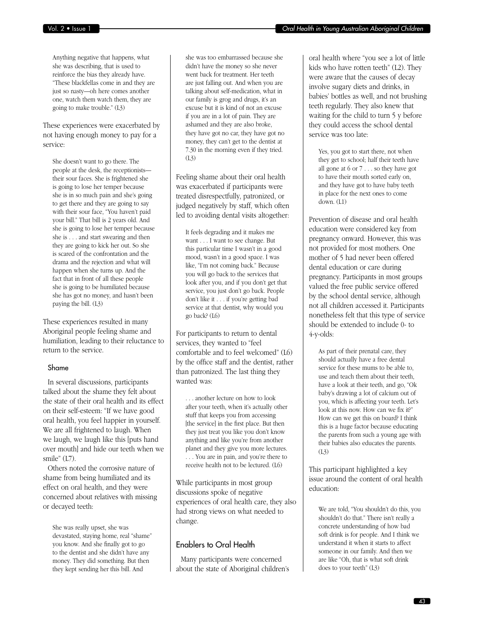Anything negative that happens, what she was describing, that is used to reinforce the bias they already have. "These blackfellas come in and they are just so nasty—oh here comes another one, watch them watch them, they are going to make trouble." (L3)

These experiences were exacerbated by not having enough money to pay for a service:

She doesn't want to go there. The people at the desk, the receptionists their sour faces. She is frightened she is going to lose her temper because she is in so much pain and she's going to get there and they are going to say with their sour face, "You haven't paid your bill." That bill is 2 years old. And she is going to lose her temper because she is . . . and start swearing and then they are going to kick her out. So she is scared of the confrontation and the drama and the rejection and what will happen when she turns up. And the fact that in front of all these people she is going to be humiliated because she has got no money, and hasn't been paying the bill. (L3)

These experiences resulted in many Aboriginal people feeling shame and humiliation, leading to their reluctance to return to the service.

#### Shame

In several discussions, participants talked about the shame they felt about the state of their oral health and its effect on their self-esteem: "If we have good oral health, you feel happier in yourself. We are all frightened to laugh. When we laugh, we laugh like this [puts hand over mouth] and hide our teeth when we smile" (L7).

Others noted the corrosive nature of shame from being humiliated and its effect on oral health, and they were concerned about relatives with missing or decayed teeth:

She was really upset, she was devastated, staying home, real "shame" you know. And she finally got to go to the dentist and she didn't have any money. They did something. But then they kept sending her this bill. And

she was too embarrassed because she didn't have the money so she never went back for treatment. Her teeth are just falling out. And when you are talking about self-medication, what in our family is grog and drugs, it's an excuse but it is kind of not an excuse if you are in a lot of pain. They are ashamed and they are also broke, they have got no car, they have got no money, they can't get to the dentist at 7.30 in the morning even if they tried. (L3)

Feeling shame about their oral health was exacerbated if participants were treated disrespectfully, patronized, or judged negatively by staff, which often led to avoiding dental visits altogether:

It feels degrading and it makes me want . . . I want to see change. But this particular time I wasn't in a good mood, wasn't in a good space. I was like, "I'm not coming back." Because you will go back to the services that look after you, and if you don't get that service, you just don't go back. People don't like it . . . if you're getting bad service at that dentist, why would you go back? (L6)

For participants to return to dental services, they wanted to "feel comfortable and to feel welcomed" (L6) by the office staff and the dentist, rather than patronized. The last thing they wanted was:

. . . another lecture on how to look after your teeth, when it's actually other stuff that keeps you from accessing [the service] in the first place. But then they just treat you like you don't know anything and like you're from another planet and they give you more lectures. . . . You are in pain, and you're there to receive health not to be lectured. (L6)

While participants in most group discussions spoke of negative experiences of oral health care, they also had strong views on what needed to change.

# Enablers to Oral Health

Many participants were concerned about the state of Aboriginal children's oral health where "you see a lot of little kids who have rotten teeth" (L2). They were aware that the causes of decay involve sugary diets and drinks, in babies' bottles as well, and not brushing teeth regularly. They also knew that waiting for the child to turn 5 y before they could access the school dental service was too late:

Yes, you got to start there, not when they get to school; half their teeth have all gone at 6 or 7 . . . so they have got to have their mouth sorted early on, and they have got to have baby teeth in place for the next ones to come down. (L1)

Prevention of disease and oral health education were considered key from pregnancy onward. However, this was not provided for most mothers. One mother of 5 had never been offered dental education or care during pregnancy. Participants in most groups valued the free public service offered by the school dental service, although not all children accessed it. Participants nonetheless felt that this type of service should be extended to include 0- to 4-y-olds:

As part of their prenatal care, they should actually have a free dental service for these mums to be able to, use and teach them about their teeth, have a look at their teeth, and go, "Ok baby's drawing a lot of calcium out of you, which is affecting your teeth. Let's look at this now. How can we fix it?" How can we get this on board? I think this is a huge factor because educating the parents from such a young age with their babies also educates the parents. (L3)

This participant highlighted a key issue around the content of oral health education:

We are told, "You shouldn't do this, you shouldn't do that." There isn't really a concrete understanding of how bad soft drink is for people. And I think we understand it when it starts to affect someone in our family. And then we are like "Oh, that is what soft drink does to your teeth" (L3)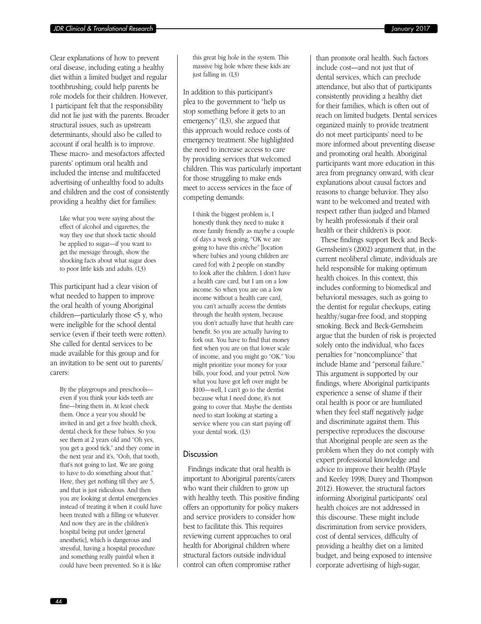Clear explanations of how to prevent oral disease, including eating a healthy diet within a limited budget and regular toothbrushing, could help parents be role models for their children. However, 1 participant felt that the responsibility did not lie just with the parents. Broader structural issues, such as upstream determinants, should also be called to account if oral health is to improve. These macro- and mesofactors affected parents' optimum oral health and included the intense and multifaceted advertising of unhealthy food to adults and children and the cost of consistently providing a healthy diet for families:

Like what you were saying about the effect of alcohol and cigarettes, the way they use that shock tactic should be applied to sugar—if you want to get the message through, show the shocking facts about what sugar does to poor little kids and adults. (L3)

This participant had a clear vision of what needed to happen to improve the oral health of young Aboriginal children—particularly those <5 y, who were ineligible for the school dental service (even if their teeth were rotten). She called for dental services to be made available for this group and for an invitation to be sent out to parents/ carers:

By the playgroups and preschools even if you think your kids teeth are fine—bring them in. At least check them. Once a year you should be invited in and get a free health check, dental check for these babies. So you see them at 2 years old and "Oh yes, you get a good tick," and they come in the next year and it's, "Ooh, that tooth, that's not going to last. We are going to have to do something about that." Here, they get nothing till they are 5, and that is just ridiculous. And then you are looking at dental emergencies instead of treating it when it could have been treated with a filling or whatever. And now they are in the children's hospital being put under [general anesthetic], which is dangerous and stressful, having a hospital procedure and something really painful when it could have been prevented. So it is like

this great big hole in the system. This massive big hole where these kids are just falling in. (L3)

In addition to this participant's plea to the government to "help us stop something before it gets to an emergency" (L3), she argued that this approach would reduce costs of emergency treatment. She highlighted the need to increase access to care by providing services that welcomed children. This was particularly important for those struggling to make ends meet to access services in the face of competing demands:

I think the biggest problem is, I honestly think they need to make it more family friendly as maybe a couple of days a week going, "OK we are going to have this crèche" [location where babies and young children are cared for] with 2 people on standby to look after the children. I don't have a health care card, but I am on a low income. So when you are on a low income without a health care card, you can't actually access the dentists through the health system, because you don't actually have that health care benefit. So you are actually having to fork out. You have to find that money first when you are on that lower scale of income, and you might go "OK." You might prioritize your money for your bills, your food, and your petrol. Now what you have got left over might be \$100—well, I can't go to the dentist because what I need done, it's not going to cover that. Maybe the dentists need to start looking at starting a service where you can start paying off your dental work. (L3)

## **Discussion**

Findings indicate that oral health is important to Aboriginal parents/carers who want their children to grow up with healthy teeth. This positive finding offers an opportunity for policy makers and service providers to consider how best to facilitate this. This requires reviewing current approaches to oral health for Aboriginal children where structural factors outside individual control can often compromise rather

than promote oral health. Such factors include cost—and not just that of dental services, which can preclude attendance, but also that of participants consistently providing a healthy diet for their families, which is often out of reach on limited budgets. Dental services organized mainly to provide treatment do not meet participants' need to be more informed about preventing disease and promoting oral health. Aboriginal participants want more education in this area from pregnancy onward, with clear explanations about causal factors and reasons to change behavior. They also want to be welcomed and treated with respect rather than judged and blamed by health professionals if their oral health or their children's is poor.

These findings support Beck and Beck-Gernsheim's (2002) argument that, in the current neoliberal climate, individuals are held responsible for making optimum health choices. In this context, this includes conforming to biomedical and behavioral messages, such as going to the dentist for regular checkups, eating healthy/sugar-free food, and stopping smoking. Beck and Beck-Gernsheim argue that the burden of risk is projected solely onto the individual, who faces penalties for "noncompliance" that include blame and "personal failure." This argument is supported by our findings, where Aboriginal participants experience a sense of shame if their oral health is poor or are humiliated when they feel staff negatively judge and discriminate against them. This perspective reproduces the discourse that Aboriginal people are seen as the problem when they do not comply with expert professional knowledge and advice to improve their health (Playle and Keeley 1998; Durey and Thompson 2012). However, the structural factors informing Aboriginal participants' oral health choices are not addressed in this discourse. These might include discrimination from service providers, cost of dental services, difficulty of providing a healthy diet on a limited budget, and being exposed to intensive corporate advertising of high-sugar,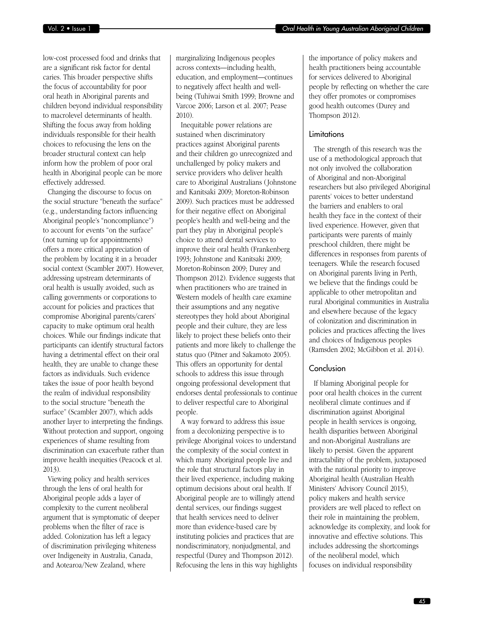low-cost processed food and drinks that are a significant risk factor for dental caries. This broader perspective shifts the focus of accountability for poor oral heath in Aboriginal parents and children beyond individual responsibility to macrolevel determinants of health. Shifting the focus away from holding individuals responsible for their health choices to refocusing the lens on the broader structural context can help inform how the problem of poor oral health in Aboriginal people can be more effectively addressed.

Changing the discourse to focus on the social structure "beneath the surface" (e.g., understanding factors influencing Aboriginal people's "noncompliance") to account for events "on the surface" (not turning up for appointments) offers a more critical appreciation of the problem by locating it in a broader social context (Scambler 2007). However, addressing upstream determinants of oral health is usually avoided, such as calling governments or corporations to account for policies and practices that compromise Aboriginal parents/carers' capacity to make optimum oral health choices. While our findings indicate that participants can identify structural factors having a detrimental effect on their oral health, they are unable to change these factors as individuals. Such evidence takes the issue of poor health beyond the realm of individual responsibility to the social structure "beneath the surface" (Scambler 2007), which adds another layer to interpreting the findings. Without protection and support, ongoing experiences of shame resulting from discrimination can exacerbate rather than improve health inequities (Peacock et al. 2013).

Viewing policy and health services through the lens of oral health for Aboriginal people adds a layer of complexity to the current neoliberal argument that is symptomatic of deeper problems when the filter of race is added. Colonization has left a legacy of discrimination privileging whiteness over Indigeneity in Australia, Canada, and Aotearoa/New Zealand, where

marginalizing Indigenous peoples across contexts—including health, education, and employment—continues to negatively affect health and wellbeing (Tuhiwai Smith 1999; Browne and Varcoe 2006; Larson et al. 2007; Pease 2010).

Inequitable power relations are sustained when discriminatory practices against Aboriginal parents and their children go unrecognized and unchallenged by policy makers and service providers who deliver health care to Aboriginal Australians (Johnstone and Kanitsaki 2009; Moreton-Robinson 2009). Such practices must be addressed for their negative effect on Aboriginal people's health and well-being and the part they play in Aboriginal people's choice to attend dental services to improve their oral health (Frankenberg 1993; Johnstone and Kanitsaki 2009; Moreton-Robinson 2009; Durey and Thompson 2012). Evidence suggests that when practitioners who are trained in Western models of health care examine their assumptions and any negative stereotypes they hold about Aboriginal people and their culture, they are less likely to project these beliefs onto their patients and more likely to challenge the status quo (Pitner and Sakamoto 2005). This offers an opportunity for dental schools to address this issue through ongoing professional development that endorses dental professionals to continue to deliver respectful care to Aboriginal people.

A way forward to address this issue from a decolonizing perspective is to privilege Aboriginal voices to understand the complexity of the social context in which many Aboriginal people live and the role that structural factors play in their lived experience, including making optimum decisions about oral health. If Aboriginal people are to willingly attend dental services, our findings suggest that health services need to deliver more than evidence-based care by instituting policies and practices that are nondiscriminatory, nonjudgmental, and respectful (Durey and Thompson 2012). Refocusing the lens in this way highlights the importance of policy makers and health practitioners being accountable for services delivered to Aboriginal people by reflecting on whether the care they offer promotes or compromises good health outcomes (Durey and Thompson 2012).

## **Limitations**

The strength of this research was the use of a methodological approach that not only involved the collaboration of Aboriginal and non-Aboriginal researchers but also privileged Aboriginal parents' voices to better understand the barriers and enablers to oral health they face in the context of their lived experience. However, given that participants were parents of mainly preschool children, there might be differences in responses from parents of teenagers. While the research focused on Aboriginal parents living in Perth, we believe that the findings could be applicable to other metropolitan and rural Aboriginal communities in Australia and elsewhere because of the legacy of colonization and discrimination in policies and practices affecting the lives and choices of Indigenous peoples (Ramsden 2002; McGibbon et al. 2014).

# Conclusion

If blaming Aboriginal people for poor oral health choices in the current neoliberal climate continues and if discrimination against Aboriginal people in health services is ongoing, health disparities between Aboriginal and non-Aboriginal Australians are likely to persist. Given the apparent intractability of the problem, juxtaposed with the national priority to improve Aboriginal health (Australian Health Ministers' Advisory Council 2015), policy makers and health service providers are well placed to reflect on their role in maintaining the problem, acknowledge its complexity, and look for innovative and effective solutions. This includes addressing the shortcomings of the neoliberal model, which focuses on individual responsibility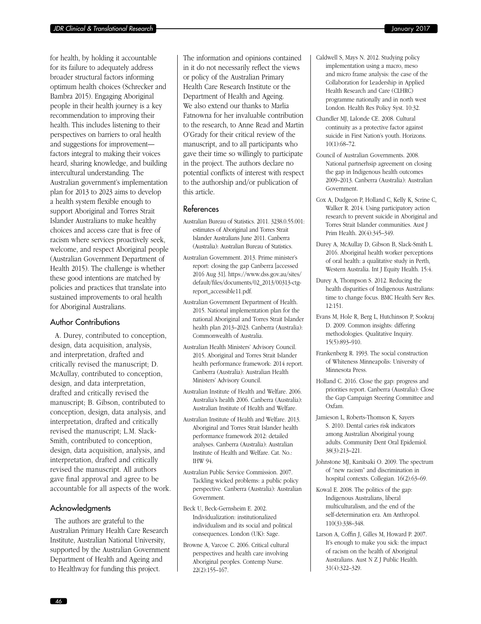for health, by holding it accountable for its failure to adequately address broader structural factors informing optimum health choices (Schrecker and Bambra 2015). Engaging Aboriginal people in their health journey is a key recommendation to improving their health. This includes listening to their perspectives on barriers to oral health and suggestions for improvement factors integral to making their voices heard, sharing knowledge, and building intercultural understanding. The Australian government's implementation plan for 2013 to 2023 aims to develop a health system flexible enough to support Aboriginal and Torres Strait Islander Australians to make healthy choices and access care that is free of racism where services proactively seek, welcome, and respect Aboriginal people (Australian Government Department of Health 2015). The challenge is whether these good intentions are matched by policies and practices that translate into sustained improvements to oral health for Aboriginal Australians.

# Author Contributions

A. Durey, contributed to conception, design, data acquisition, analysis, and interpretation, drafted and critically revised the manuscript; D. McAullay, contributed to conception, design, and data interpretation, drafted and critically revised the manuscript; B. Gibson, contributed to conception, design, data analysis, and interpretation, drafted and critically revised the manuscript; L.M. Slack-Smith, contributed to conception, design, data acquisition, analysis, and interpretation, drafted and critically revised the manuscript. All authors gave final approval and agree to be accountable for all aspects of the work.

# Acknowledgments

The authors are grateful to the Australian Primary Health Care Research Institute, Australian National University, supported by the Australian Government Department of Health and Ageing and to Healthway for funding this project.

The information and opinions contained in it do not necessarily reflect the views or policy of the Australian Primary Health Care Research Institute or the Department of Health and Ageing. We also extend our thanks to Marlia Fatnowna for her invaluable contribution to the research, to Anne Read and Martin O'Grady for their critical review of the manuscript, and to all participants who gave their time so willingly to participate in the project. The authors declare no potential conflicts of interest with respect to the authorship and/or publication of this article.

# References

- Australian Bureau of Statistics. 2011. 3238.0.55.001: estimates of Aboriginal and Torres Strait Islander Australians June 2011. Canberra (Australia): Australian Bureau of Statistics.
- Australian Government. 2013. Prime minister's report: closing the gap Canberra [accessed 2016 Aug 31]. [https://www.dss.gov.au/sites/](https://www.dss.gov.au/sites/default/files/documents/02_2013/00313-ctgreport_accessible11.pdf) [default/files/documents/02\\_2013/00313-ctg](https://www.dss.gov.au/sites/default/files/documents/02_2013/00313-ctgreport_accessible11.pdf)[report\\_accessible11.pdf.](https://www.dss.gov.au/sites/default/files/documents/02_2013/00313-ctgreport_accessible11.pdf)
- Australian Government Department of Health. 2015. National implementation plan for the national Aboriginal and Torres Strait Islander health plan 2013–2023. Canberra (Australia): Commonwealth of Australia.
- Australian Health Ministers' Advisory Council. 2015. Aboriginal and Torres Strait Islander health performance framework: 2014 report. Canberra (Australia): Australian Health Ministers' Advisory Council.
- Australian Institute of Health and Welfare. 2006. Australia's health 2006. Canberra (Australia): Australian Institute of Health and Welfare.
- Australian Institute of Health and Welfare. 2013. Aboriginal and Torres Strait Islander health performance framework 2012: detailed analyses. Canberra (Australia): Australian Institute of Health and Welfare. Cat. No.: IHW 94.
- Australian Public Service Commission. 2007. Tackling wicked problems: a public policy perspective. Canberra (Australia): Australian Government.
- Beck U, Beck-Gernsheim E. 2002. Individualization: institutionalized individualism and its social and political consequences. London (UK): Sage.
- Browne A, Varcoe C. 2006. Critical cultural perspectives and health care involving Aboriginal peoples. Contemp Nurse. 22(2):155–167.
- Caldwell S, Mays N. 2012. Studying policy implementation using a macro, meso and micro frame analysis: the case of the Collaboration for Leadership in Applied Health Research and Care (CLHRC) programme nationally and in north west London. Health Res Policy Syst. 10:32.
- Chandler MJ, Lalonde CE. 2008. Cultural continuity as a protective factor against suicide in First Nation's youth. Horizons. 10(1):68–72.
- Council of Australian Governments. 2008. National partnerhsip agreement on closing the gap in Indigenous health outcomes 2009–2013. Canberra (Australia): Australian Government.
- Cox A, Dudgeon P, Holland C, Kelly K, Scrine C, Walker R. 2014. Using participatory action research to prevent suicide in Aboriginal and Torres Strait Islander communities. Aust J Prim Health. 20(4):345–349.
- Durey A, McAullay D, Gibson B, Slack-Smith L. 2016. Aboriginal health worker perceptions of oral health: a qualitative study in Perth, Western Australia. Int J Equity Health. 15:4.
- Durey A, Thompson S. 2012. Reducing the health disparities of Indigenous Australians: time to change focus. BMC Health Serv Res. 12:151.
- Evans M, Hole R, Berg L, Hutchinson P, Sookraj D. 2009. Common insights: differing methodologies. Qualitative Inquiry. 15(5):893–910.
- Frankenberg R. 1993. The social construction of Whiteness Minneapolis: University of Minnesota Press.
- Holland C. 2016. Close the gap: progress and priorities report. Canberra (Australia): Close the Gap Campaign Steering Committee and Oxfam.
- Jamieson L, Roberts-Thomson K, Sayers S. 2010. Dental caries risk indicators among Australian Aboriginal young adults. Community Dent Oral Epidemiol. 38(3):213–221.
- Johnstone MJ, Kanitsaki O. 2009. The spectrum of "new racism" and discrimination in hospital contexts. Collegian. 16(2):63–69.
- Kowal E. 2008. The politics of the gap: Indigenous Australians, liberal multiculturalism, and the end of the self-determination era. Am Anthropol. 110(3):338–348.
- Larson A, Coffin J, Gilles M, Howard P. 2007. It's enough to make you sick: the impact of racism on the health of Aboriginal Australians. Aust N Z J Public Health. 31(4):322–329.